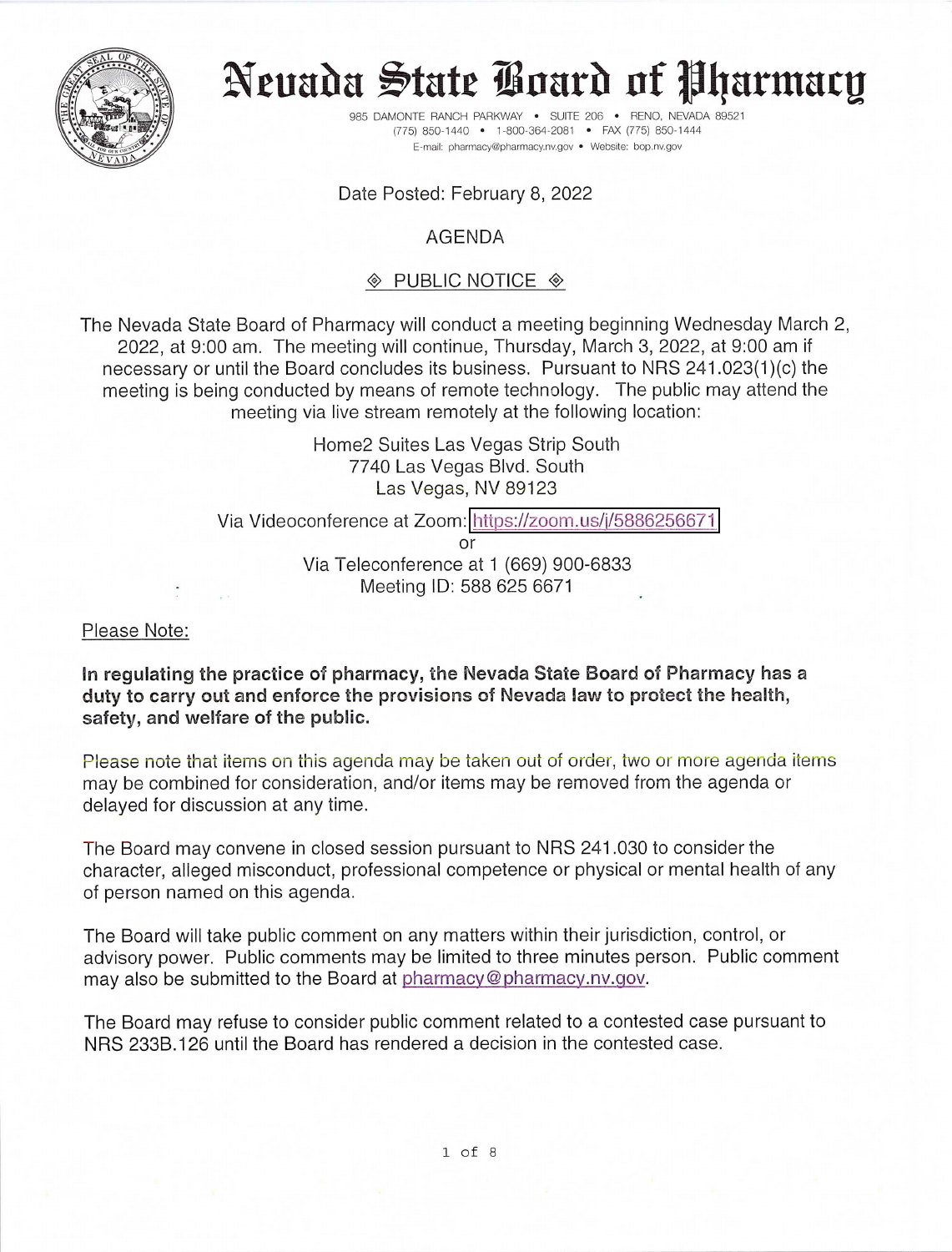

# Neuada State Board of Pharmacy

985 DAMONTE RANCH PARKWAY . SUITE 206 . RENO, NEVADA 89521 (775) 850-1440 · 1-800-364-2081 · FAX (775) 850-1444 E-mail: pharmacy@pharmacy.nv.gov . Website: bop.nv.gov

#### Date Posted: February 8, 2022

#### AGENDA

#### $\textcircled{*}$  PUBLIC NOTICE  $\textcircled{*}$

The Nevada State Board of Pharmacy will conduct a meeting beginning Wednesday March 2, 2022, at 9:00 am. The meeting will continue, Thursday, March 3, 2022, at 9:00 am if necessary or until the Board concludes its business. Pursuant to NRS 241.023(1)(c) the meeting is being conducted by means of remote technology. The public may attend the meeting via live stream remotely at the following location:

> Home2 Suites Las Vegas Strip South 7740 Las Vegas Blvd. South Las Vegas, NV 89123

Via Videoconference at Zoom: https://zoom.us/j/5886256671

or Via Teleconference at 1 (669) 900-6833 Meeting ID: 588 625 6671

Please Note:

In regulating the practice of pharmacy, the Nevada State Board of Pharmacy has a duty to carry out and enforce the provisions of Nevada law to protect the health, safety, and welfare of the public.

Please note that items on this agenda may be taken out of order, two or more agenda items may be combined for consideration, and/or items may be removed from the agenda or delayed for discussion at any time.

The Board may convene in closed session pursuant to NRS 241.030 to consider the character, alleged misconduct, professional competence or physical or mental health of any of person named on this agenda.

The Board will take public comment on any matters within their jurisdiction, control, or advisory power. Public comments may be limited to three minutes person. Public comment may also be submitted to the Board at pharmacy@pharmacy.nv.gov.

The Board may refuse to consider public comment related to a contested case pursuant to NRS 233B.126 until the Board has rendered a decision in the contested case.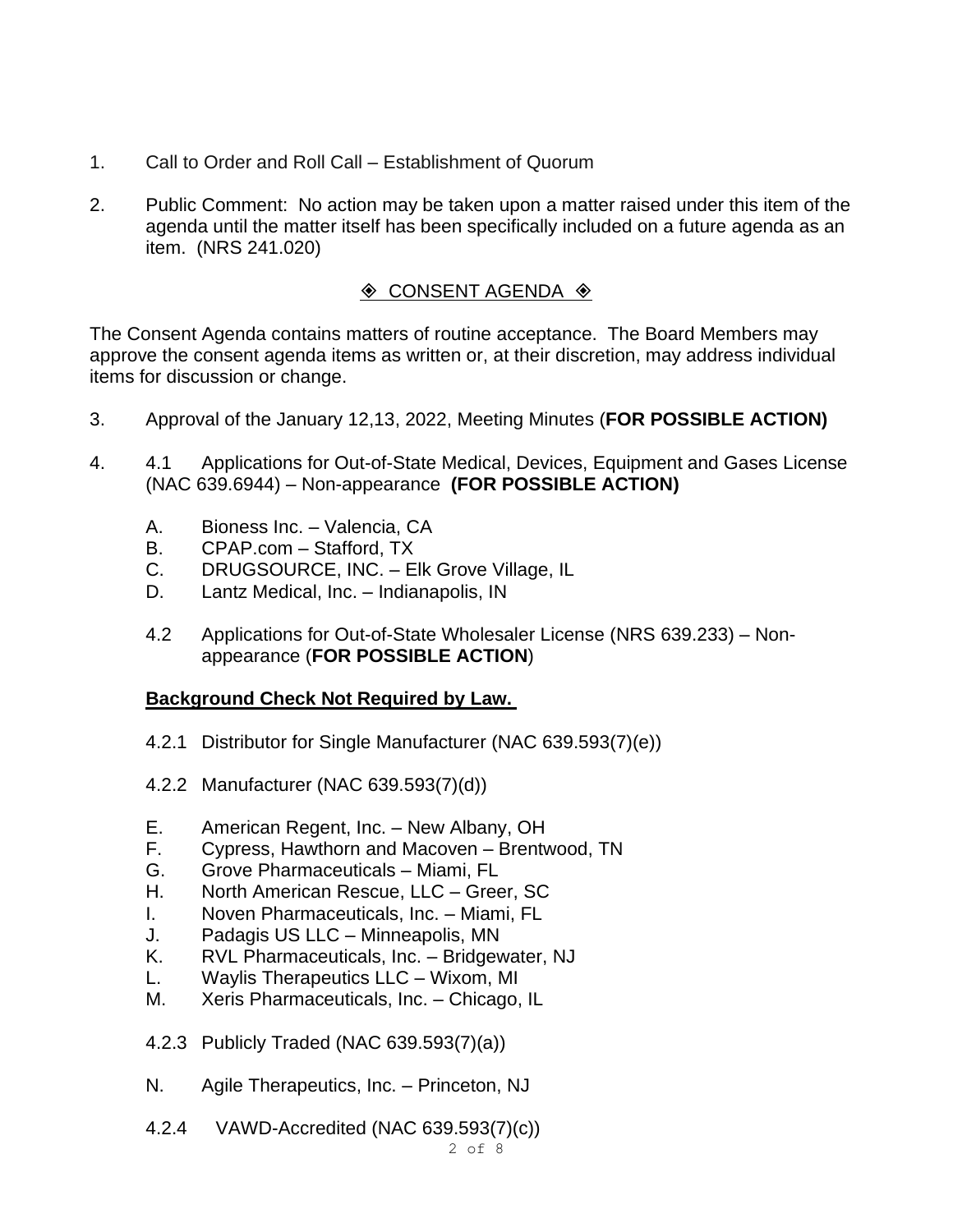- 1. Call to Order and Roll Call Establishment of Quorum
- 2. Public Comment: No action may be taken upon a matter raised under this item of the agenda until the matter itself has been specifically included on a future agenda as an item. (NRS 241.020)

# $\Diamond$  CONSENT AGENDA  $\Diamond$

The Consent Agenda contains matters of routine acceptance. The Board Members may approve the consent agenda items as written or, at their discretion, may address individual items for discussion or change.

- 3. Approval of the January 12,13, 2022, Meeting Minutes (**FOR POSSIBLE ACTION)**
- 4. 4.1 Applications for Out-of-State Medical, Devices, Equipment and Gases License (NAC 639.6944) – Non-appearance **(FOR POSSIBLE ACTION)**
	- A. Bioness Inc. Valencia, CA
	- B. CPAP.com Stafford, TX
	- C. DRUGSOURCE, INC. Elk Grove Village, IL
	- D. Lantz Medical, Inc. Indianapolis, IN
	- 4.2 Applications for Out-of-State Wholesaler License (NRS 639.233) Nonappearance (**FOR POSSIBLE ACTION**)

# **Background Check Not Required by Law.**

- 4.2.1 Distributor for Single Manufacturer (NAC 639.593(7)(e))
- 4.2.2 Manufacturer (NAC 639.593(7)(d))
- E. American Regent, Inc. New Albany, OH
- F. Cypress, Hawthorn and Macoven Brentwood, TN
- G. Grove Pharmaceuticals Miami, FL
- H. North American Rescue, LLC Greer, SC
- I. Noven Pharmaceuticals, Inc. Miami, FL
- J. Padagis US LLC Minneapolis, MN
- K. RVL Pharmaceuticals, Inc. Bridgewater, NJ
- L. Waylis Therapeutics LLC Wixom, MI
- M. Xeris Pharmaceuticals, Inc. Chicago, IL
- 4.2.3 Publicly Traded (NAC 639.593(7)(a))
- N. Agile Therapeutics, Inc. Princeton, NJ
- 4.2.4 VAWD-Accredited (NAC 639.593(7)(c))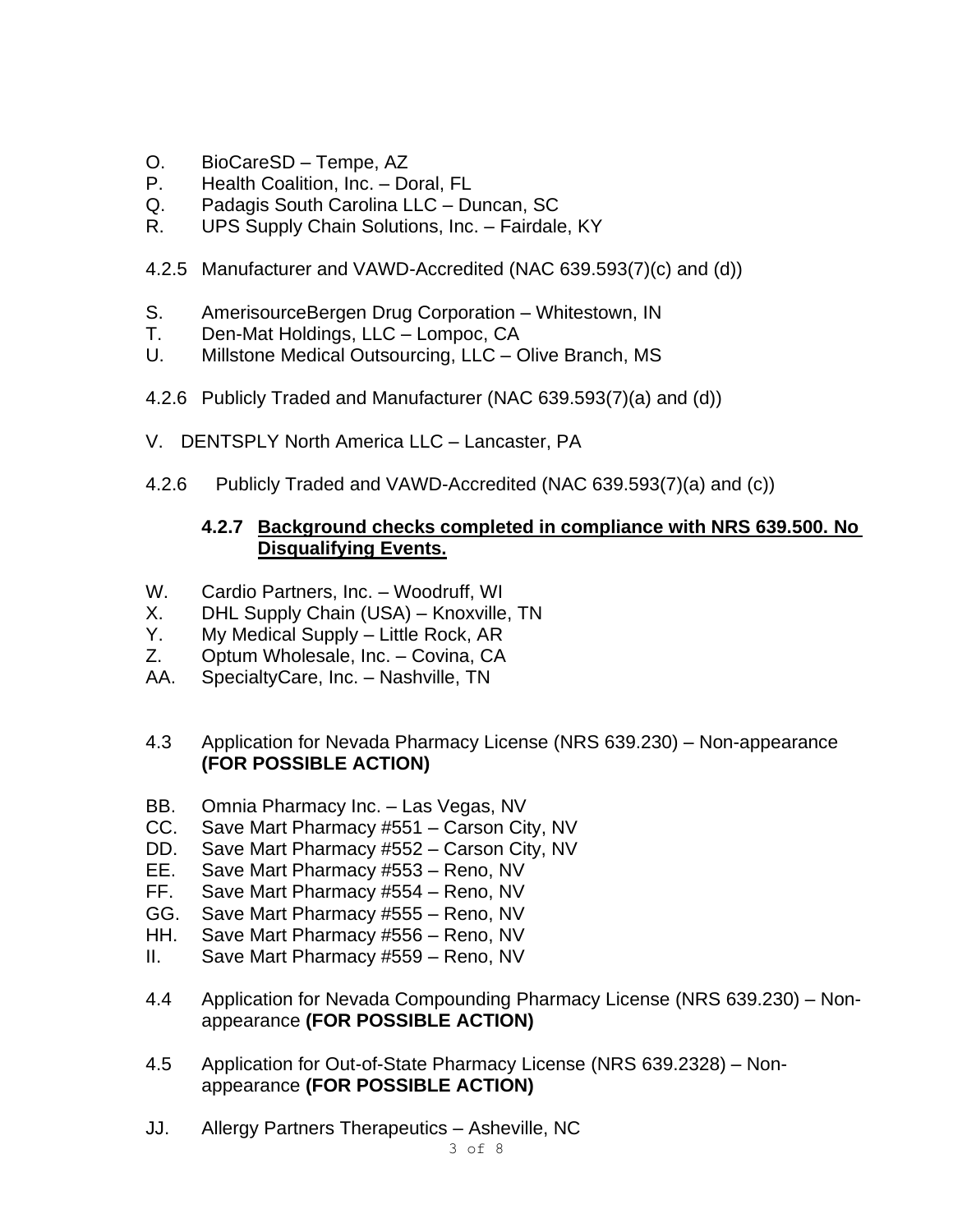- O. BioCareSD Tempe, AZ
- P. Health Coalition, Inc. Doral, FL
- Q. Padagis South Carolina LLC Duncan, SC
- R. UPS Supply Chain Solutions, Inc. Fairdale, KY
- 4.2.5 Manufacturer and VAWD-Accredited (NAC 639.593(7)(c) and (d))
- S. AmerisourceBergen Drug Corporation Whitestown, IN
- T. Den-Mat Holdings, LLC Lompoc, CA
- U. Millstone Medical Outsourcing, LLC Olive Branch, MS
- 4.2.6 Publicly Traded and Manufacturer (NAC 639.593(7)(a) and (d))
- V. DENTSPLY North America LLC Lancaster, PA
- 4.2.6 Publicly Traded and VAWD-Accredited (NAC 639.593(7)(a) and (c))

#### **4.2.7 Background checks completed in compliance with NRS 639.500. No Disqualifying Events.**

- W. Cardio Partners, Inc. Woodruff, WI
- X. DHL Supply Chain (USA) Knoxville, TN
- Y. My Medical Supply Little Rock, AR
- Z. Optum Wholesale, Inc. Covina, CA
- AA. SpecialtyCare, Inc. Nashville, TN
- 4.3 Application for Nevada Pharmacy License (NRS 639.230) Non-appearance **(FOR POSSIBLE ACTION)**
- BB. Omnia Pharmacy Inc. Las Vegas, NV
- CC. Save Mart Pharmacy #551 Carson City, NV
- DD. Save Mart Pharmacy #552 Carson City, NV
- EE. Save Mart Pharmacy #553 Reno, NV
- FF. Save Mart Pharmacy #554 Reno, NV
- GG. Save Mart Pharmacy #555 Reno, NV
- HH. Save Mart Pharmacy #556 Reno, NV
- II. Save Mart Pharmacy #559 Reno, NV
- 4.4 Application for Nevada Compounding Pharmacy License (NRS 639.230) Nonappearance **(FOR POSSIBLE ACTION)**
- 4.5 Application for Out-of-State Pharmacy License (NRS 639.2328) Nonappearance **(FOR POSSIBLE ACTION)**
- JJ. Allergy Partners Therapeutics Asheville, NC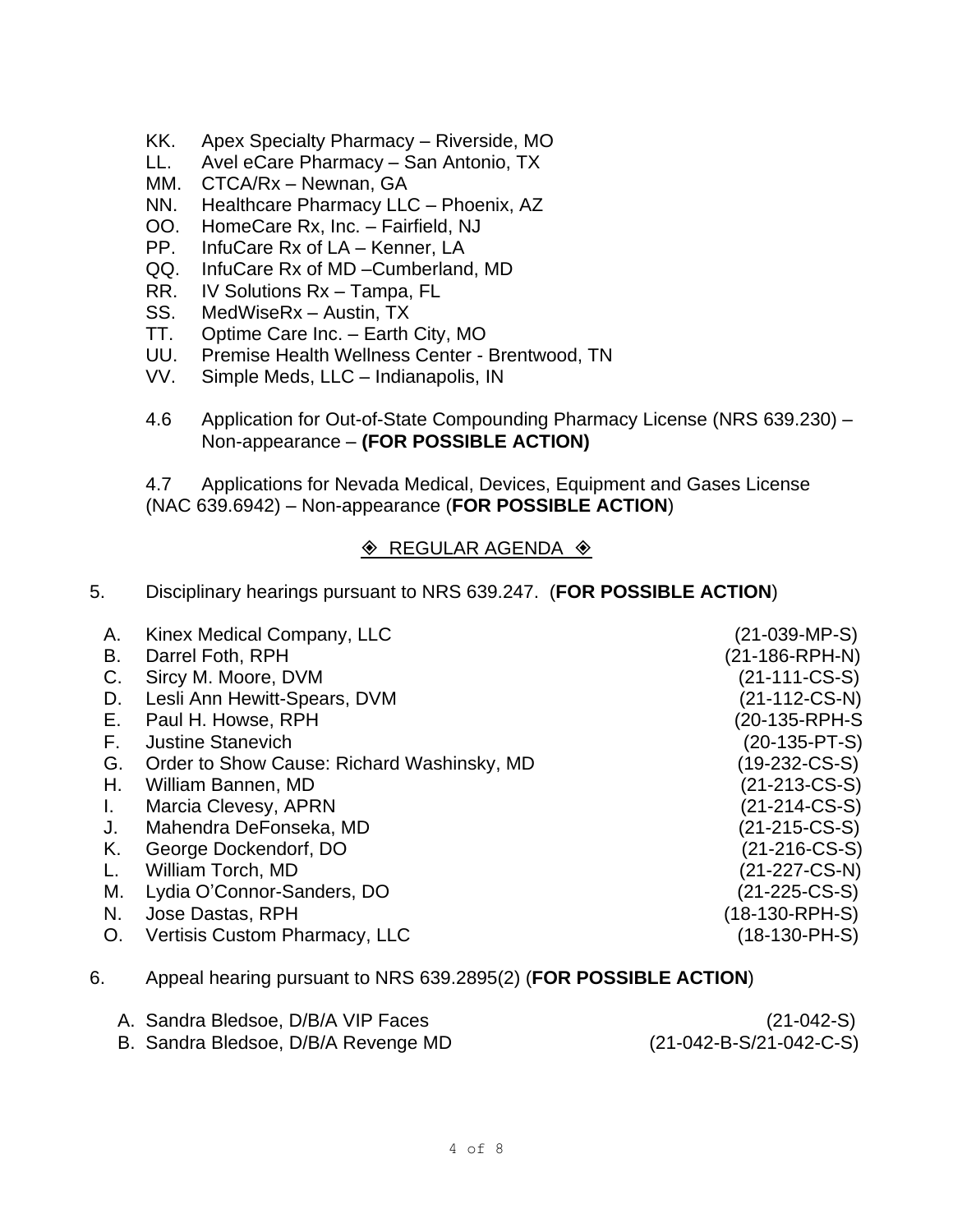- KK. Apex Specialty Pharmacy Riverside, MO
- LL. Avel eCare Pharmacy San Antonio, TX
- MM. CTCA/Rx Newnan, GA
- NN. Healthcare Pharmacy LLC Phoenix, AZ
- OO. HomeCare Rx, Inc. Fairfield, NJ
- PP. InfuCare Rx of LA Kenner, LA
- QQ. InfuCare Rx of MD –Cumberland, MD
- RR. IV Solutions Rx Tampa, FL
- SS. MedWiseRx Austin, TX
- TT. Optime Care Inc. Earth City, MO
- UU. Premise Health Wellness Center Brentwood, TN
- VV. Simple Meds, LLC Indianapolis, IN
- 4.6 Application for Out-of-State Compounding Pharmacy License (NRS 639.230) Non-appearance – **(FOR POSSIBLE ACTION)**

4.7 Applications for Nevada Medical, Devices, Equipment and Gases License (NAC 639.6942) – Non-appearance (**FOR POSSIBLE ACTION**)

#### $\textcircled{*}$  REGULAR AGENDA  $\textcircled{*}$

5. Disciplinary hearings pursuant to NRS 639.247. (**FOR POSSIBLE ACTION**)

| Α. | Kinex Medical Company, LLC                                       | (21-039-MP-S)    |
|----|------------------------------------------------------------------|------------------|
| В. | Darrel Foth, RPH                                                 | (21-186-RPH-N)   |
| C. | Sircy M. Moore, DVM                                              | $(21-111-CS-S)$  |
| D. | Lesli Ann Hewitt-Spears, DVM                                     | $(21-112-CS-N)$  |
| Е. | Paul H. Howse, RPH                                               | (20-135-RPH-S    |
| F. | <b>Justine Stanevich</b>                                         | $(20-135-PT-S)$  |
| G. | Order to Show Cause: Richard Washinsky, MD                       | (19-232-CS-S)    |
| Н. | William Bannen, MD                                               | $(21-213-CS-S)$  |
| L. | Marcia Clevesy, APRN                                             | $(21-214-CS-S)$  |
| J. | Mahendra DeFonseka, MD                                           | $(21-215-CS-S)$  |
| K. | George Dockendorf, DO                                            | $(21-216$ -CS-S) |
| L. | William Torch, MD                                                | (21-227-CS-N)    |
| М. | Lydia O'Connor-Sanders, DO                                       | $(21-225-CS-S)$  |
| N. | Jose Dastas, RPH                                                 | (18-130-RPH-S)   |
| O. | Vertisis Custom Pharmacy, LLC                                    | (18-130-PH-S)    |
|    | Appeal bearing purcuppt to NDC 620 2905(2) (EOD DOCCIDLE ACTION) |                  |

6. Appeal hearing pursuant to NRS 639.2895(2) (**FOR POSSIBLE ACTION**)

| A. Sandra Bledsoe, D/B/A VIP Faces  | $(21-042-S)$              |
|-------------------------------------|---------------------------|
| B. Sandra Bledsoe, D/B/A Revenge MD | $(21-042-B-S/21-042-C-S)$ |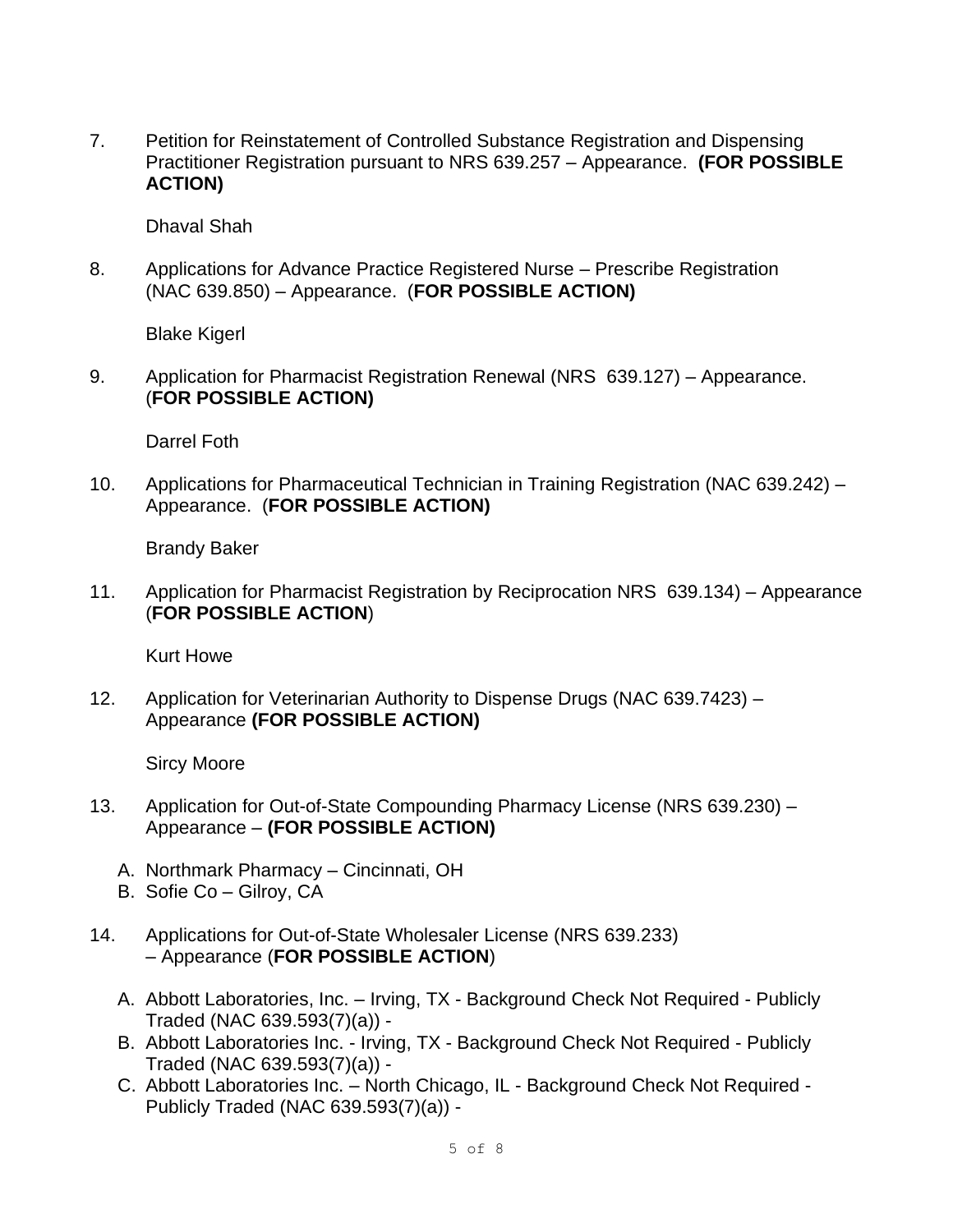7. Petition for Reinstatement of Controlled Substance Registration and Dispensing Practitioner Registration pursuant to NRS 639.257 – Appearance. **(FOR POSSIBLE ACTION)**

Dhaval Shah

8. Applications for Advance Practice Registered Nurse – Prescribe Registration (NAC 639.850) – Appearance. (**FOR POSSIBLE ACTION)**

Blake Kigerl

9. Application for Pharmacist Registration Renewal (NRS 639.127) – Appearance. (**FOR POSSIBLE ACTION)**

Darrel Foth

10. Applications for Pharmaceutical Technician in Training Registration (NAC 639.242) – Appearance. (**FOR POSSIBLE ACTION)**

Brandy Baker

11. Application for Pharmacist Registration by Reciprocation NRS 639.134) – Appearance (**FOR POSSIBLE ACTION**)

Kurt Howe

12. Application for Veterinarian Authority to Dispense Drugs (NAC 639.7423) – Appearance **(FOR POSSIBLE ACTION)**

Sircy Moore

- 13. Application for Out-of-State Compounding Pharmacy License (NRS 639.230) Appearance – **(FOR POSSIBLE ACTION)**
	- A. Northmark Pharmacy Cincinnati, OH
	- B. Sofie Co Gilroy, CA
- 14. Applications for Out-of-State Wholesaler License (NRS 639.233) – Appearance (**FOR POSSIBLE ACTION**)
	- A. Abbott Laboratories, Inc. Irving, TX Background Check Not Required Publicly Traded (NAC 639.593(7)(a)) -
	- B. Abbott Laboratories Inc. Irving, TX Background Check Not Required Publicly Traded (NAC 639.593(7)(a)) -
	- C. Abbott Laboratories Inc. North Chicago, IL Background Check Not Required Publicly Traded (NAC 639.593(7)(a)) -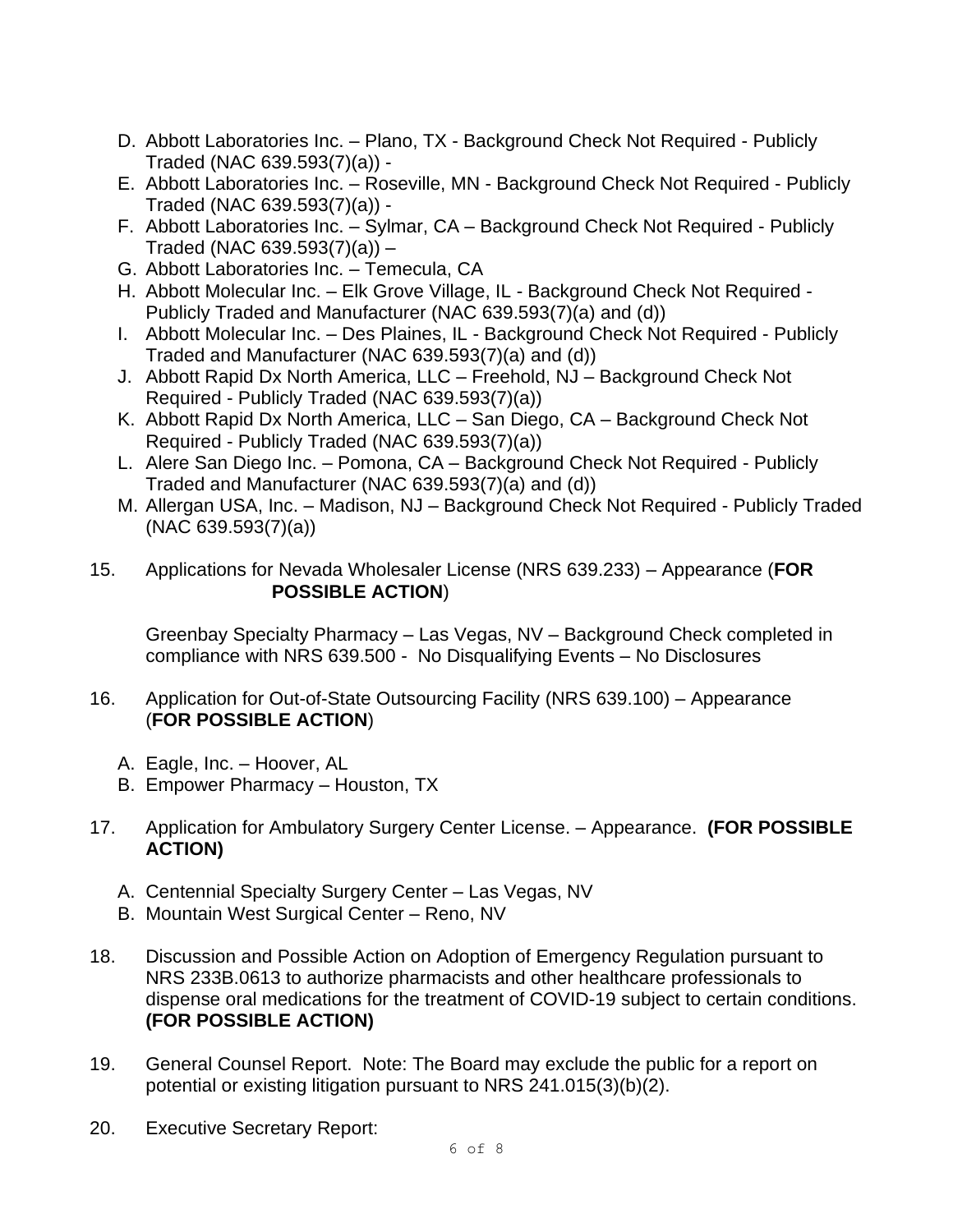- D. Abbott Laboratories Inc. Plano, TX Background Check Not Required Publicly Traded (NAC 639.593(7)(a)) -
- E. Abbott Laboratories Inc. Roseville, MN Background Check Not Required Publicly Traded (NAC 639.593(7)(a)) -
- F. Abbott Laboratories Inc. Sylmar, CA Background Check Not Required Publicly Traded (NAC 639.593(7)(a)) –
- G. Abbott Laboratories Inc. Temecula, CA
- H. Abbott Molecular Inc. Elk Grove Village, IL Background Check Not Required Publicly Traded and Manufacturer (NAC 639.593(7)(a) and (d))
- I. Abbott Molecular Inc. Des Plaines, IL Background Check Not Required Publicly Traded and Manufacturer (NAC 639.593(7)(a) and (d))
- J. Abbott Rapid Dx North America, LLC Freehold, NJ Background Check Not Required - Publicly Traded (NAC 639.593(7)(a))
- K. Abbott Rapid Dx North America, LLC San Diego, CA Background Check Not Required - Publicly Traded (NAC 639.593(7)(a))
- L. Alere San Diego Inc. Pomona, CA Background Check Not Required Publicly Traded and Manufacturer (NAC 639.593(7)(a) and (d))
- M. Allergan USA, Inc. Madison, NJ Background Check Not Required Publicly Traded (NAC 639.593(7)(a))
- 15. Applications for Nevada Wholesaler License (NRS 639.233) Appearance (**FOR POSSIBLE ACTION**)

Greenbay Specialty Pharmacy – Las Vegas, NV – Background Check completed in compliance with NRS 639.500 - No Disqualifying Events – No Disclosures

- 16. Application for Out-of-State Outsourcing Facility (NRS 639.100) Appearance (**FOR POSSIBLE ACTION**)
	- A. Eagle, Inc. Hoover, AL
	- B. Empower Pharmacy Houston, TX
- 17. Application for Ambulatory Surgery Center License. Appearance. **(FOR POSSIBLE ACTION)**
	- A. Centennial Specialty Surgery Center Las Vegas, NV
	- B. Mountain West Surgical Center Reno, NV
- 18. Discussion and Possible Action on Adoption of Emergency Regulation pursuant to NRS 233B.0613 to authorize pharmacists and other healthcare professionals to dispense oral medications for the treatment of COVID-19 subject to certain conditions. **(FOR POSSIBLE ACTION)**
- 19. General Counsel Report. Note: The Board may exclude the public for a report on potential or existing litigation pursuant to NRS 241.015(3)(b)(2).
- 20. Executive Secretary Report: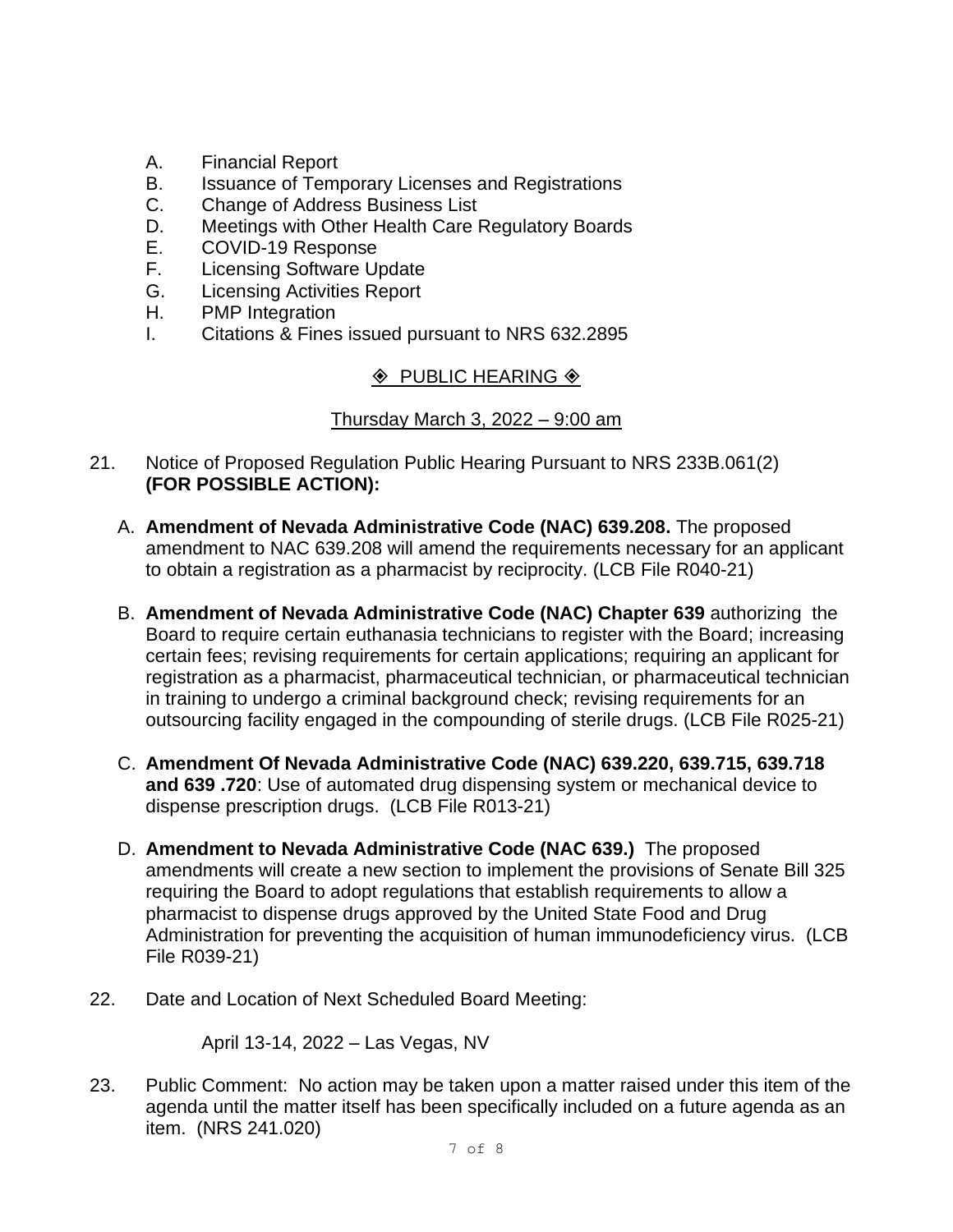- A. Financial Report
- B. Issuance of Temporary Licenses and Registrations
- C. Change of Address Business List
- D. Meetings with Other Health Care Regulatory Boards
- E. COVID-19 Response
- F. Licensing Software Update
- G. Licensing Activities Report
- H. PMP Integration
- I. Citations & Fines issued pursuant to NRS 632.2895

# $\Diamond$  PUBLIC HEARING  $\Diamond$

# Thursday March 3, 2022 – 9:00 am

- 21. Notice of Proposed Regulation Public Hearing Pursuant to NRS 233B.061(2) **(FOR POSSIBLE ACTION):**
	- A. **Amendment of Nevada Administrative Code (NAC) 639.208.** The proposed amendment to NAC 639.208 will amend the requirements necessary for an applicant to obtain a registration as a pharmacist by reciprocity. (LCB File R040-21)
	- B. **Amendment of Nevada Administrative Code (NAC) Chapter 639** authorizing the Board to require certain euthanasia technicians to register with the Board; increasing certain fees; revising requirements for certain applications; requiring an applicant for registration as a pharmacist, pharmaceutical technician, or pharmaceutical technician in training to undergo a criminal background check; revising requirements for an outsourcing facility engaged in the compounding of sterile drugs. (LCB File R025-21)
	- C. **Amendment Of Nevada Administrative Code (NAC) 639.220, 639.715, 639.718 and 639 .720**: Use of automated drug dispensing system or mechanical device to dispense prescription drugs. (LCB File R013-21)
	- D. **Amendment to Nevada Administrative Code (NAC 639.)** The proposed amendments will create a new section to implement the provisions of Senate Bill 325 requiring the Board to adopt regulations that establish requirements to allow a pharmacist to dispense drugs approved by the United State Food and Drug Administration for preventing the acquisition of human immunodeficiency virus. (LCB File R039-21)
- 22. Date and Location of Next Scheduled Board Meeting:

April 13-14, 2022 – Las Vegas, NV

23. Public Comment: No action may be taken upon a matter raised under this item of the agenda until the matter itself has been specifically included on a future agenda as an item. (NRS 241.020)